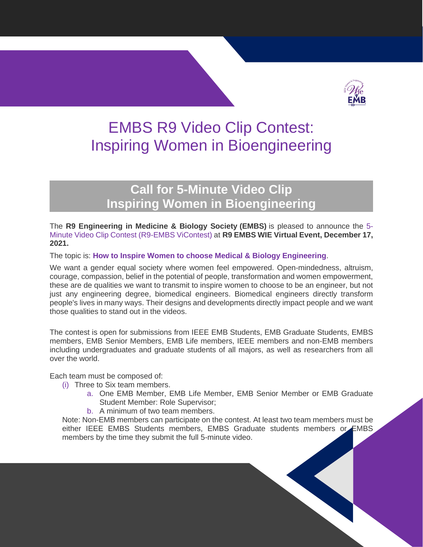

# EMBS R9 Video Clip Contest: Inspiring Women in Bioengineering

## **Call for 5-Minute Video Clip Inspiring Women in Bioengineering**

The **R9 Engineering in Medicine & Biology Society (EMBS)** is pleased to announce the 5- Minute Video Clip Contest (R9-EMBS ViContest) at **R9 EMBS WIE Virtual Event, December 17, 2021.** 

The topic is: **How to Inspire Women to choose Medical & Biology Engineering**.

We want a gender equal society where women feel empowered. Open-mindedness, altruism, courage, compassion, belief in the potential of people, transformation and women empowerment, these are de qualities we want to transmit to inspire women to choose to be an engineer, but not just any engineering degree, biomedical engineers. Biomedical engineers directly transform people's lives in many ways. Their designs and developments directly impact people and we want those qualities to stand out in the videos.

The contest is open for submissions from IEEE EMB Students, EMB Graduate Students, EMBS members, EMB Senior Members, EMB Life members, IEEE members and non-EMB members including undergraduates and graduate students of all majors, as well as researchers from all over the world.

Each team must be composed of:

- (i) Three to Six team members.
	- a. One EMB Member, EMB Life Member, EMB Senior Member or EMB Graduate Student Member: Role Supervisor;
	- b. A minimum of two team members.

Note: Non-EMB members can participate on the contest. At least two team members must be either IEEE EMBS Students members, EMBS Graduate students members or EMBS members by the time they submit the full 5-minute video.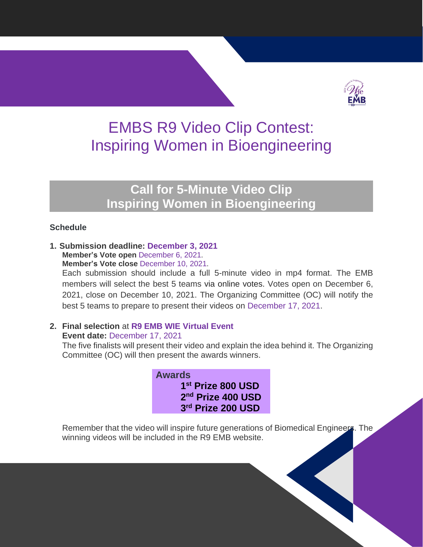

## EMBS R9 Video Clip Contest: Inspiring Women in Bioengineering

### **Call for 5-Minute Video Clip Inspiring Women in Bioengineering**

#### **Schedule**

**1. Submission deadline: December 3, 2021 Member's Vote open** December 6, 2021. **Member's Vote close** December 10, 2021.

Each submission should include a full 5-minute video in mp4 format. The EMB members will select the best 5 teams via online votes. Votes open on December 6, 2021, close on December 10, 2021. The Organizing Committee (OC) will notify the best 5 teams to prepare to present their videos on December 17, 2021.

### **2. Final selection** at **R9 EMB WIE Virtual Event**

**Event date:** December 17, 2021

The five finalists will present their video and explain the idea behind it. The Organizing Committee (OC) will then present the awards winners.

> **Awards st Prize 800 USD nd Prize 400 USD rd Prize 200 USD**

Remember that the video will inspire future generations of Biomedical Engineers. The winning videos will be included in the R9 EMB website.